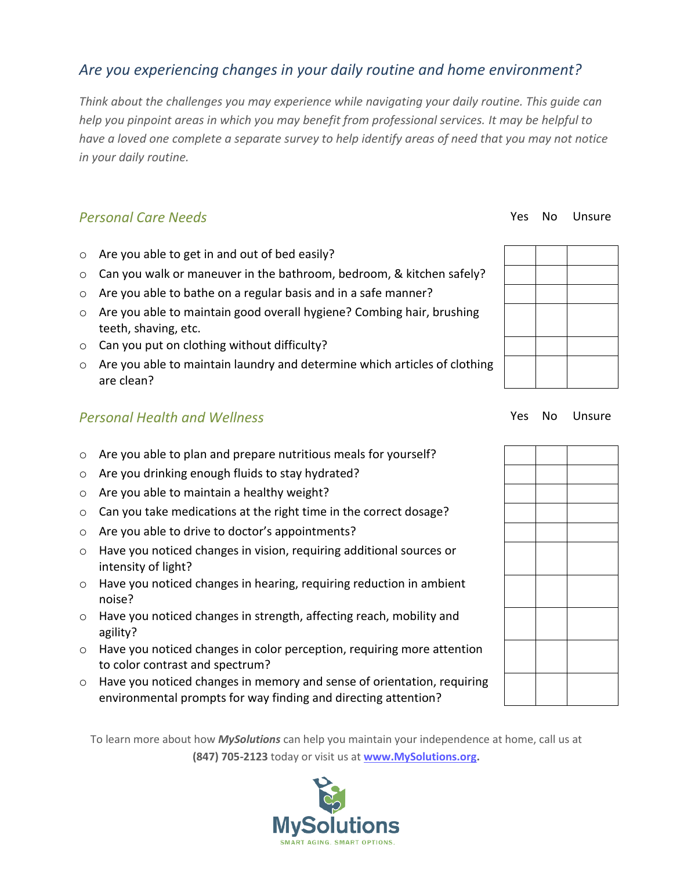# *Are you experiencing changes in your daily routine and home environment?*

*Think about the challenges you may experience while navigating your daily routine. This guide can help you pinpoint areas in which you may benefit from professional services. It may be helpful to have a loved one complete a separate survey to help identify areas of need that you may not notice in your daily routine.*

#### **Personal Care Needs** Yes No Unsure

- o Are you able to get in and out of bed easily?
- o Can you walk or maneuver in the bathroom, bedroom, & kitchen safely?
- o Are you able to bathe on a regular basis and in a safe manner?
- o Are you able to maintain good overall hygiene? Combing hair, brushing teeth, shaving, etc.
- o Can you put on clothing without difficulty?
- $\circ$  Are you able to maintain laundry and determine which articles of clothing are clean?

## **Personal Health and Wellness** The Community Community Personal Measure

- o Are you able to plan and prepare nutritious meals for yourself?
- o Are you drinking enough fluids to stay hydrated?
- o Are you able to maintain a healthy weight?
- o Can you take medications at the right time in the correct dosage?
- o Are you able to drive to doctor's appointments?
- o Have you noticed changes in vision, requiring additional sources or intensity of light?
- o Have you noticed changes in hearing, requiring reduction in ambient noise?
- o Have you noticed changes in strength, affecting reach, mobility and agility?
- o Have you noticed changes in color perception, requiring more attention to color contrast and spectrum?
- o Have you noticed changes in memory and sense of orientation, requiring environmental prompts for way finding and directing attention?

To learn more about how *MySolutions* can help you maintain your independence at home, call us at **(847) 705-2123** today or visit us at **[www.MySolutions.org.](http://www.mysolutions.org/)**



| I<br>c, | u<br>u١<br>U | UI<br><b>DUIC</b> |
|---------|--------------|-------------------|
|         |              |                   |
|         |              |                   |
|         |              |                   |
|         |              |                   |
|         |              |                   |
|         |              |                   |
|         |              |                   |
|         |              |                   |
|         |              |                   |
|         |              |                   |
|         |              |                   |
|         |              |                   |
|         |              |                   |
|         |              |                   |
|         |              |                   |
|         |              |                   |